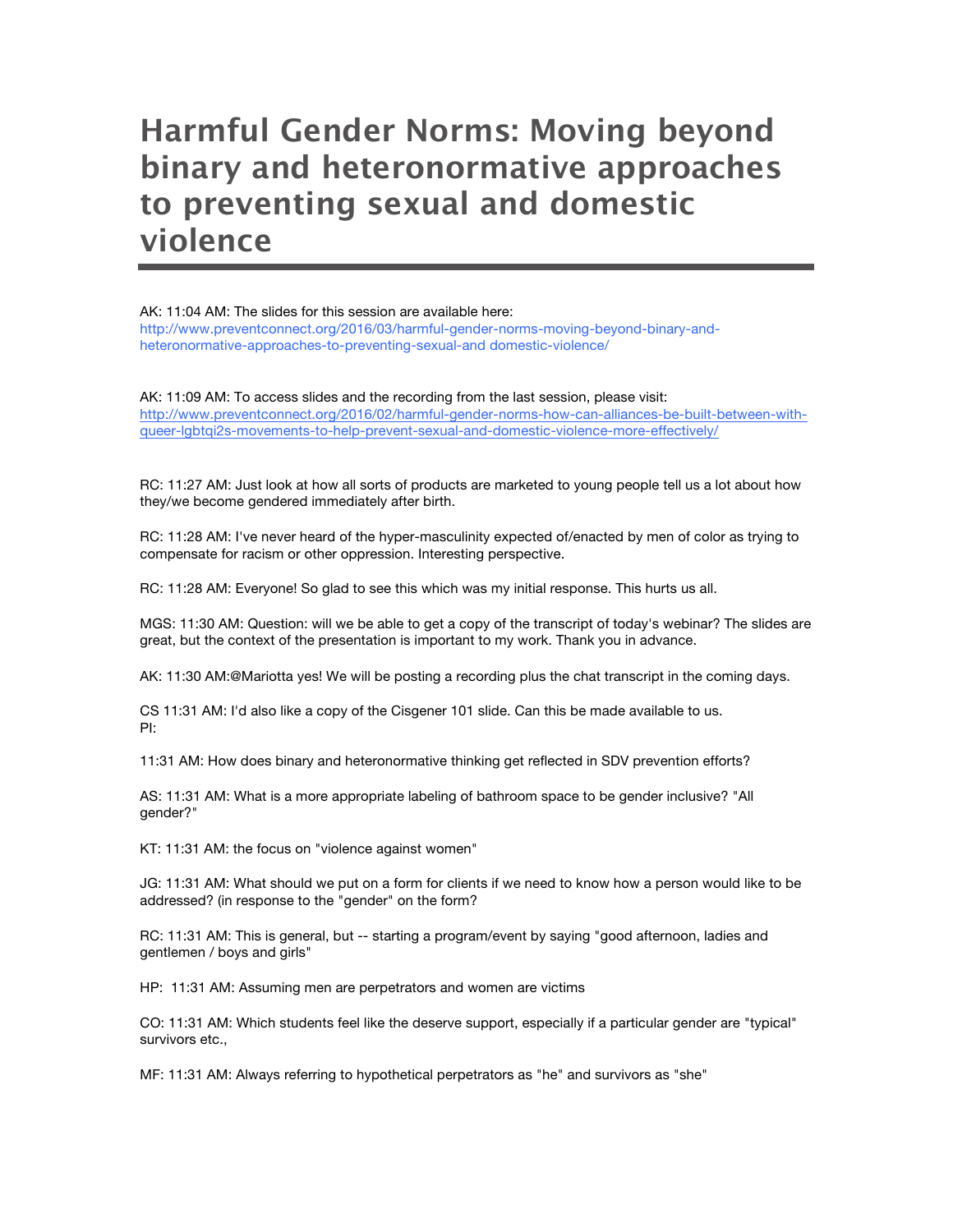## **Harmful Gender Norms: Moving beyond binary and heteronormative approaches to preventing sexual and domestic violence**

AK: 11:04 AM: The slides for this session are available here: http://www.preventconnect.org/2016/03/harmful-gender-norms-moving-beyond-binary-andheteronormative-approaches-to-preventing-sexual-and domestic-violence/

AK: 11:09 AM: To access slides and the recording from the last session, please visit: http://www.preventconnect.org/2016/02/harmful-gender-norms-how-can-alliances-be-built-between-withqueer-lgbtqi2s-movements-to-help-prevent-sexual-and-domestic-violence-more-effectively/

RC: 11:27 AM: Just look at how all sorts of products are marketed to young people tell us a lot about how they/we become gendered immediately after birth.

RC: 11:28 AM: I've never heard of the hyper-masculinity expected of/enacted by men of color as trying to compensate for racism or other oppression. Interesting perspective.

RC: 11:28 AM: Everyone! So glad to see this which was my initial response. This hurts us all.

MGS: 11:30 AM: Question: will we be able to get a copy of the transcript of today's webinar? The slides are great, but the context of the presentation is important to my work. Thank you in advance.

AK: 11:30 AM:@Mariotta yes! We will be posting a recording plus the chat transcript in the coming days.

CS 11:31 AM: I'd also like a copy of the Cisgener 101 slide. Can this be made available to us. PI:

11:31 AM: How does binary and heteronormative thinking get reflected in SDV prevention efforts?

AS: 11:31 AM: What is a more appropriate labeling of bathroom space to be gender inclusive? "All gender?"

KT: 11:31 AM: the focus on "violence against women"

JG: 11:31 AM: What should we put on a form for clients if we need to know how a person would like to be addressed? (in response to the "gender" on the form?

RC: 11:31 AM: This is general, but -- starting a program/event by saying "good afternoon, ladies and gentlemen / boys and girls"

HP: 11:31 AM: Assuming men are perpetrators and women are victims

CO: 11:31 AM: Which students feel like the deserve support, especially if a particular gender are "typical" survivors etc.,

MF: 11:31 AM: Always referring to hypothetical perpetrators as "he" and survivors as "she"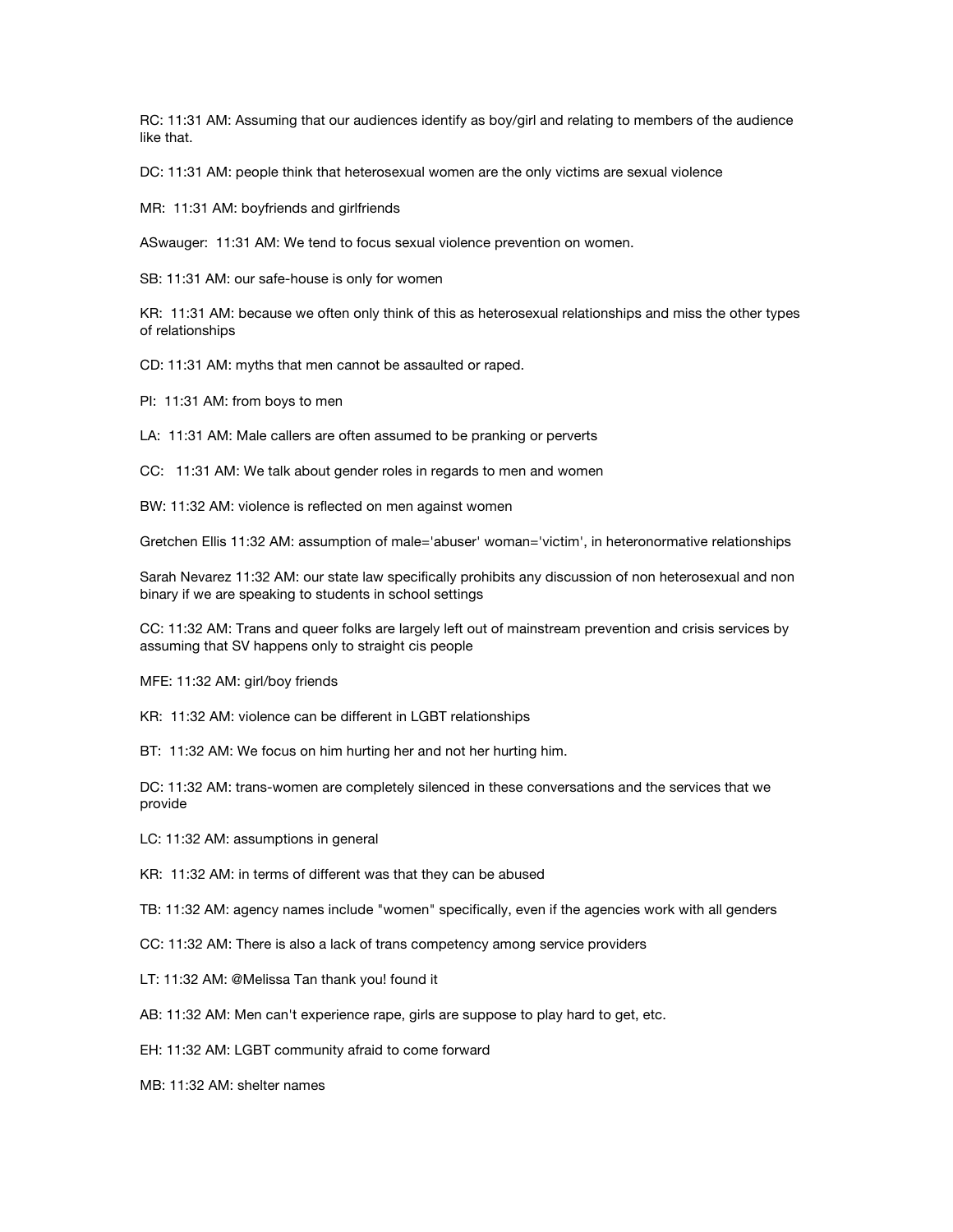RC: 11:31 AM: Assuming that our audiences identify as boy/girl and relating to members of the audience like that.

DC: 11:31 AM: people think that heterosexual women are the only victims are sexual violence

MR: 11:31 AM: boyfriends and girlfriends

ASwauger: 11:31 AM: We tend to focus sexual violence prevention on women.

SB: 11:31 AM: our safe-house is only for women

KR: 11:31 AM: because we often only think of this as heterosexual relationships and miss the other types of relationships

CD: 11:31 AM: myths that men cannot be assaulted or raped.

PI: 11:31 AM: from boys to men

LA: 11:31 AM: Male callers are often assumed to be pranking or perverts

CC: 11:31 AM: We talk about gender roles in regards to men and women

BW: 11:32 AM: violence is reflected on men against women

Gretchen Ellis 11:32 AM: assumption of male='abuser' woman='victim', in heteronormative relationships

Sarah Nevarez 11:32 AM: our state law specifically prohibits any discussion of non heterosexual and non binary if we are speaking to students in school settings

CC: 11:32 AM: Trans and queer folks are largely left out of mainstream prevention and crisis services by assuming that SV happens only to straight cis people

MFE: 11:32 AM: girl/boy friends

KR: 11:32 AM: violence can be different in LGBT relationships

BT: 11:32 AM: We focus on him hurting her and not her hurting him.

DC: 11:32 AM: trans-women are completely silenced in these conversations and the services that we provide

LC: 11:32 AM: assumptions in general

KR: 11:32 AM: in terms of different was that they can be abused

TB: 11:32 AM: agency names include "women" specifically, even if the agencies work with all genders

- CC: 11:32 AM: There is also a lack of trans competency among service providers
- LT: 11:32 AM: @Melissa Tan thank you! found it
- AB: 11:32 AM: Men can't experience rape, girls are suppose to play hard to get, etc.

EH: 11:32 AM: LGBT community afraid to come forward

MB: 11:32 AM: shelter names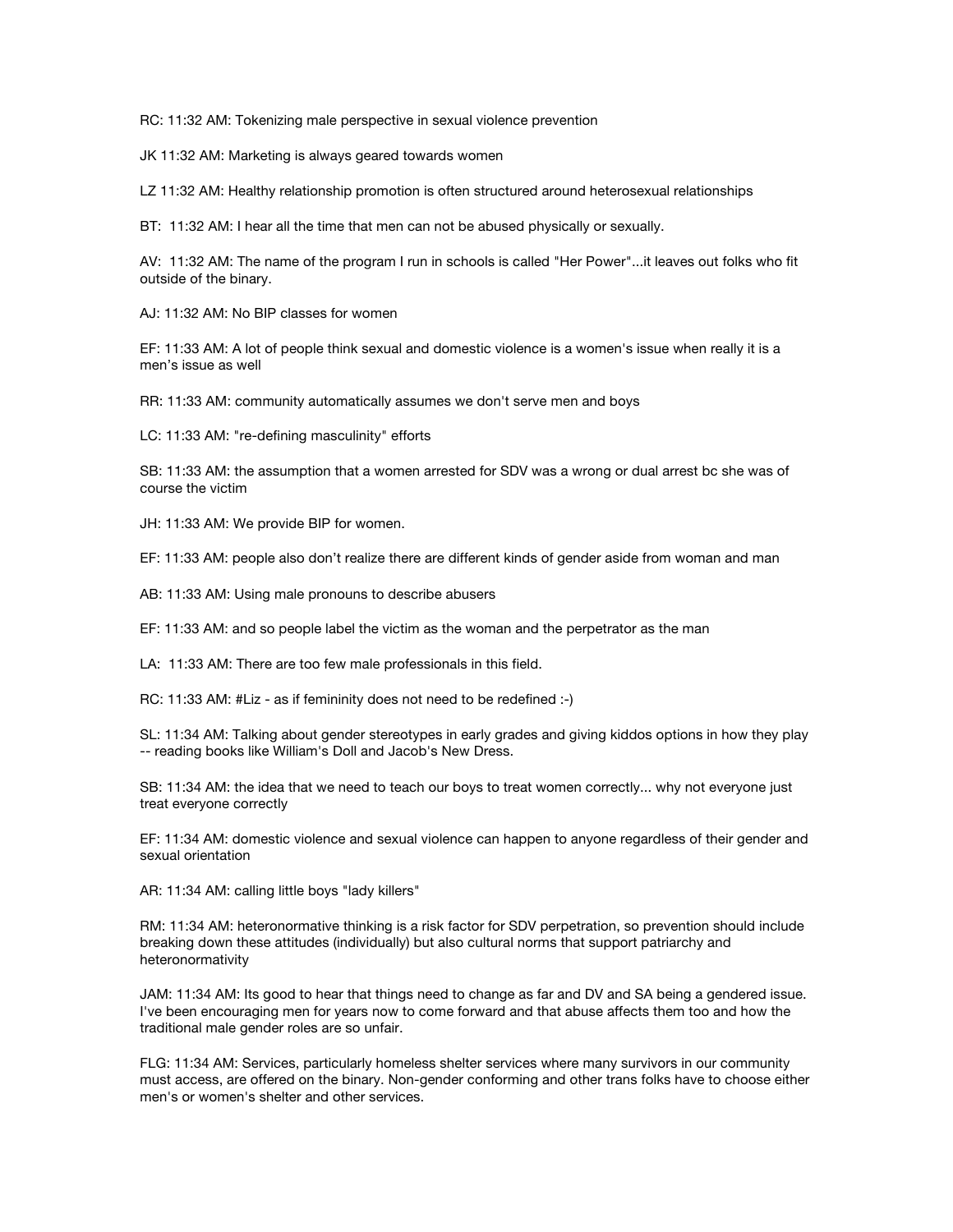RC: 11:32 AM: Tokenizing male perspective in sexual violence prevention

JK 11:32 AM: Marketing is always geared towards women

LZ 11:32 AM: Healthy relationship promotion is often structured around heterosexual relationships

BT: 11:32 AM: I hear all the time that men can not be abused physically or sexually.

AV: 11:32 AM: The name of the program I run in schools is called "Her Power"...it leaves out folks who fit outside of the binary.

AJ: 11:32 AM: No BIP classes for women

EF: 11:33 AM: A lot of people think sexual and domestic violence is a women's issue when really it is a men's issue as well

RR: 11:33 AM: community automatically assumes we don't serve men and boys

LC: 11:33 AM: "re-defining masculinity" efforts

SB: 11:33 AM: the assumption that a women arrested for SDV was a wrong or dual arrest bc she was of course the victim

JH: 11:33 AM: We provide BIP for women.

EF: 11:33 AM: people also don't realize there are different kinds of gender aside from woman and man

AB: 11:33 AM: Using male pronouns to describe abusers

EF: 11:33 AM: and so people label the victim as the woman and the perpetrator as the man

LA: 11:33 AM: There are too few male professionals in this field.

RC: 11:33 AM: #Liz - as if femininity does not need to be redefined :-)

SL: 11:34 AM: Talking about gender stereotypes in early grades and giving kiddos options in how they play -- reading books like William's Doll and Jacob's New Dress.

SB: 11:34 AM: the idea that we need to teach our boys to treat women correctly... why not everyone just treat everyone correctly

EF: 11:34 AM: domestic violence and sexual violence can happen to anyone regardless of their gender and sexual orientation

AR: 11:34 AM: calling little boys "lady killers"

RM: 11:34 AM: heteronormative thinking is a risk factor for SDV perpetration, so prevention should include breaking down these attitudes (individually) but also cultural norms that support patriarchy and heteronormativity

JAM: 11:34 AM: Its good to hear that things need to change as far and DV and SA being a gendered issue. I've been encouraging men for years now to come forward and that abuse affects them too and how the traditional male gender roles are so unfair.

FLG: 11:34 AM: Services, particularly homeless shelter services where many survivors in our community must access, are offered on the binary. Non-gender conforming and other trans folks have to choose either men's or women's shelter and other services.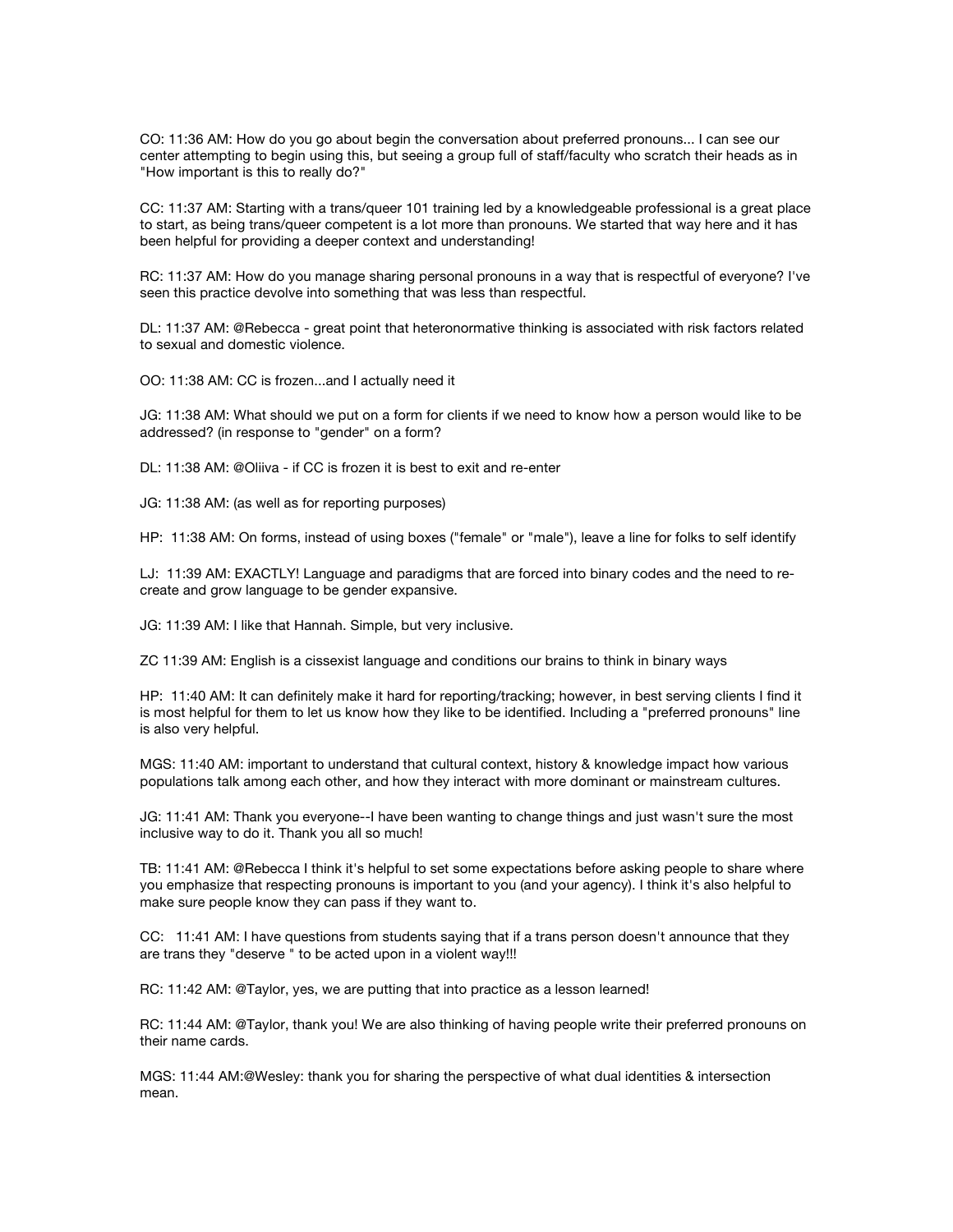CO: 11:36 AM: How do you go about begin the conversation about preferred pronouns... I can see our center attempting to begin using this, but seeing a group full of staff/faculty who scratch their heads as in "How important is this to really do?"

CC: 11:37 AM: Starting with a trans/queer 101 training led by a knowledgeable professional is a great place to start, as being trans/queer competent is a lot more than pronouns. We started that way here and it has been helpful for providing a deeper context and understanding!

RC: 11:37 AM: How do you manage sharing personal pronouns in a way that is respectful of everyone? I've seen this practice devolve into something that was less than respectful.

DL: 11:37 AM: @Rebecca - great point that heteronormative thinking is associated with risk factors related to sexual and domestic violence.

OO: 11:38 AM: CC is frozen...and I actually need it

JG: 11:38 AM: What should we put on a form for clients if we need to know how a person would like to be addressed? (in response to "gender" on a form?

DL: 11:38 AM: @Oliiva - if CC is frozen it is best to exit and re-enter

JG: 11:38 AM: (as well as for reporting purposes)

HP: 11:38 AM: On forms, instead of using boxes ("female" or "male"), leave a line for folks to self identify

LJ: 11:39 AM: EXACTLY! Language and paradigms that are forced into binary codes and the need to recreate and grow language to be gender expansive.

JG: 11:39 AM: I like that Hannah. Simple, but very inclusive.

ZC 11:39 AM: English is a cissexist language and conditions our brains to think in binary ways

HP: 11:40 AM: It can definitely make it hard for reporting/tracking; however, in best serving clients I find it is most helpful for them to let us know how they like to be identified. Including a "preferred pronouns" line is also very helpful.

MGS: 11:40 AM: important to understand that cultural context, history & knowledge impact how various populations talk among each other, and how they interact with more dominant or mainstream cultures.

JG: 11:41 AM: Thank you everyone--I have been wanting to change things and just wasn't sure the most inclusive way to do it. Thank you all so much!

TB: 11:41 AM: @Rebecca I think it's helpful to set some expectations before asking people to share where you emphasize that respecting pronouns is important to you (and your agency). I think it's also helpful to make sure people know they can pass if they want to.

CC: 11:41 AM: I have questions from students saying that if a trans person doesn't announce that they are trans they "deserve " to be acted upon in a violent way!!!

RC: 11:42 AM: @Taylor, yes, we are putting that into practice as a lesson learned!

RC: 11:44 AM: @Taylor, thank you! We are also thinking of having people write their preferred pronouns on their name cards.

MGS: 11:44 AM:@Wesley: thank you for sharing the perspective of what dual identities & intersection mean.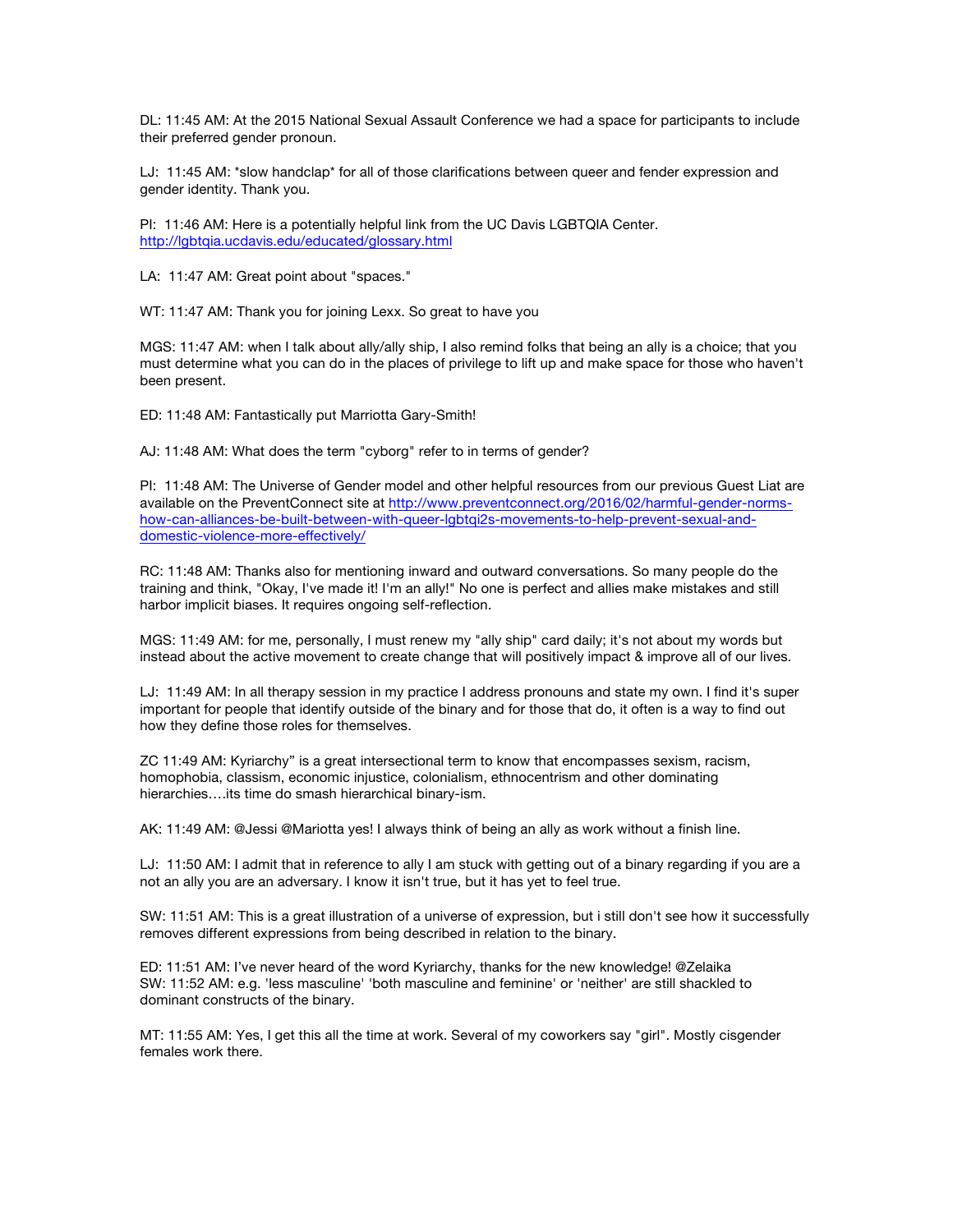DL: 11:45 AM: At the 2015 National Sexual Assault Conference we had a space for participants to include their preferred gender pronoun.

LJ: 11:45 AM: \*slow handclap\* for all of those clarifications between queer and fender expression and gender identity. Thank you.

PI: 11:46 AM: Here is a potentially helpful link from the UC Davis LGBTQIA Center. http://lgbtqia.ucdavis.edu/educated/glossary.html

LA: 11:47 AM: Great point about "spaces."

WT: 11:47 AM: Thank you for joining Lexx. So great to have you

MGS: 11:47 AM: when I talk about ally/ally ship, I also remind folks that being an ally is a choice; that you must determine what you can do in the places of privilege to lift up and make space for those who haven't been present.

ED: 11:48 AM: Fantastically put Marriotta Gary-Smith!

AJ: 11:48 AM: What does the term "cyborg" refer to in terms of gender?

PI: 11:48 AM: The Universe of Gender model and other helpful resources from our previous Guest Liat are available on the PreventConnect site at http://www.preventconnect.org/2016/02/harmful-gender-normshow-can-alliances-be-built-between-with-queer-lgbtqi2s-movements-to-help-prevent-sexual-anddomestic-violence-more-effectively/

RC: 11:48 AM: Thanks also for mentioning inward and outward conversations. So many people do the training and think, "Okay, I've made it! I'm an ally!" No one is perfect and allies make mistakes and still harbor implicit biases. It requires ongoing self-reflection.

MGS: 11:49 AM: for me, personally, I must renew my "ally ship" card daily; it's not about my words but instead about the active movement to create change that will positively impact & improve all of our lives.

LJ: 11:49 AM: In all therapy session in my practice I address pronouns and state my own. I find it's super important for people that identify outside of the binary and for those that do, it often is a way to find out how they define those roles for themselves.

ZC 11:49 AM: Kyriarchy" is a great intersectional term to know that encompasses sexism, racism, homophobia, classism, economic injustice, colonialism, ethnocentrism and other dominating hierarchies….its time do smash hierarchical binary-ism.

AK: 11:49 AM: @Jessi @Mariotta yes! I always think of being an ally as work without a finish line.

LJ: 11:50 AM: I admit that in reference to ally I am stuck with getting out of a binary regarding if you are a not an ally you are an adversary. I know it isn't true, but it has yet to feel true.

SW: 11:51 AM: This is a great illustration of a universe of expression, but i still don't see how it successfully removes different expressions from being described in relation to the binary.

ED: 11:51 AM: I've never heard of the word Kyriarchy, thanks for the new knowledge! @Zelaika SW: 11:52 AM: e.g. 'less masculine' 'both masculine and feminine' or 'neither' are still shackled to dominant constructs of the binary.

MT: 11:55 AM: Yes, I get this all the time at work. Several of my coworkers say "girl". Mostly cisgender females work there.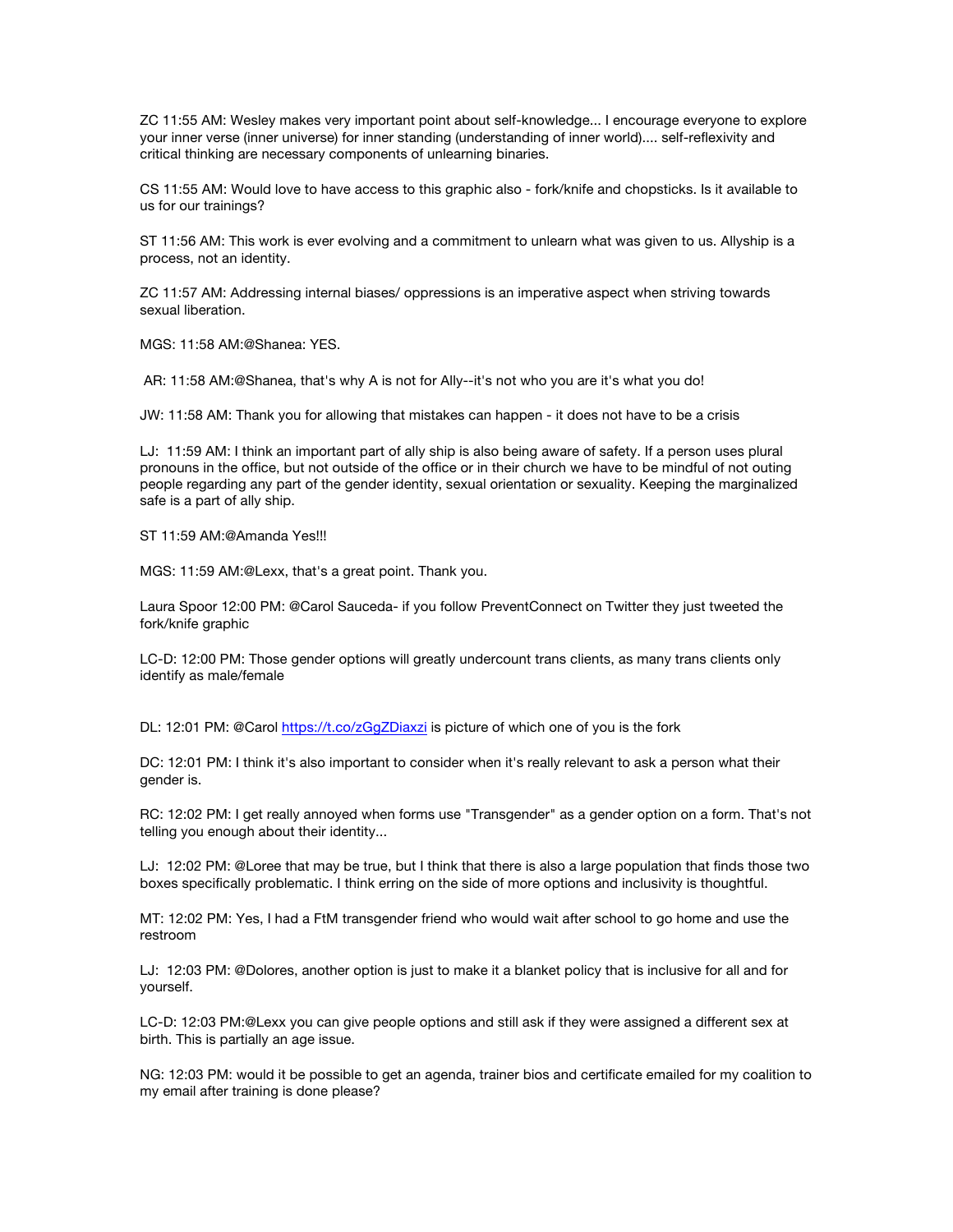ZC 11:55 AM: Wesley makes very important point about self-knowledge... I encourage everyone to explore your inner verse (inner universe) for inner standing (understanding of inner world).... self-reflexivity and critical thinking are necessary components of unlearning binaries.

CS 11:55 AM: Would love to have access to this graphic also - fork/knife and chopsticks. Is it available to us for our trainings?

ST 11:56 AM: This work is ever evolving and a commitment to unlearn what was given to us. Allyship is a process, not an identity.

ZC 11:57 AM: Addressing internal biases/ oppressions is an imperative aspect when striving towards sexual liberation.

MGS: 11:58 AM:@Shanea: YES.

AR: 11:58 AM:@Shanea, that's why A is not for Ally--it's not who you are it's what you do!

JW: 11:58 AM: Thank you for allowing that mistakes can happen - it does not have to be a crisis

LJ: 11:59 AM: I think an important part of ally ship is also being aware of safety. If a person uses plural pronouns in the office, but not outside of the office or in their church we have to be mindful of not outing people regarding any part of the gender identity, sexual orientation or sexuality. Keeping the marginalized safe is a part of ally ship.

ST 11:59 AM:@Amanda Yes!!!

MGS: 11:59 AM:@Lexx, that's a great point. Thank you.

Laura Spoor 12:00 PM: @Carol Sauceda- if you follow PreventConnect on Twitter they just tweeted the fork/knife graphic

LC-D: 12:00 PM: Those gender options will greatly undercount trans clients, as many trans clients only identify as male/female

DL: 12:01 PM: @Carol https://t.co/zGgZDiaxzi is picture of which one of you is the fork

DC: 12:01 PM: I think it's also important to consider when it's really relevant to ask a person what their gender is.

RC: 12:02 PM: I get really annoyed when forms use "Transgender" as a gender option on a form. That's not telling you enough about their identity...

LJ: 12:02 PM: @Loree that may be true, but I think that there is also a large population that finds those two boxes specifically problematic. I think erring on the side of more options and inclusivity is thoughtful.

MT: 12:02 PM: Yes, I had a FtM transgender friend who would wait after school to go home and use the restroom

LJ: 12:03 PM: @Dolores, another option is just to make it a blanket policy that is inclusive for all and for yourself.

LC-D: 12:03 PM:@Lexx you can give people options and still ask if they were assigned a different sex at birth. This is partially an age issue.

NG: 12:03 PM: would it be possible to get an agenda, trainer bios and certificate emailed for my coalition to my email after training is done please?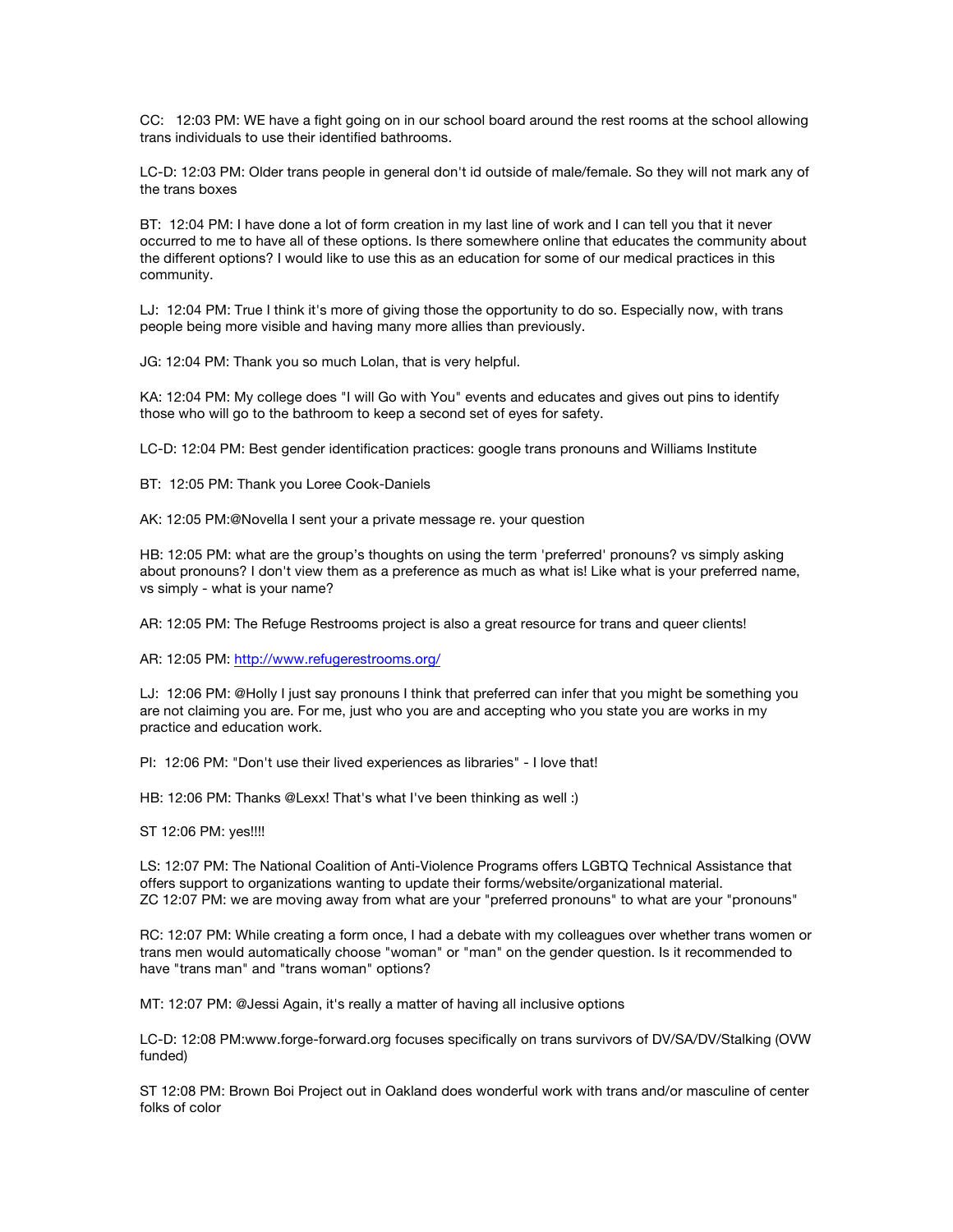CC: 12:03 PM: WE have a fight going on in our school board around the rest rooms at the school allowing trans individuals to use their identified bathrooms.

LC-D: 12:03 PM: Older trans people in general don't id outside of male/female. So they will not mark any of the trans boxes

BT: 12:04 PM: I have done a lot of form creation in my last line of work and I can tell you that it never occurred to me to have all of these options. Is there somewhere online that educates the community about the different options? I would like to use this as an education for some of our medical practices in this community.

LJ: 12:04 PM: True I think it's more of giving those the opportunity to do so. Especially now, with trans people being more visible and having many more allies than previously.

JG: 12:04 PM: Thank you so much Lolan, that is very helpful.

KA: 12:04 PM: My college does "I will Go with You" events and educates and gives out pins to identify those who will go to the bathroom to keep a second set of eyes for safety.

LC-D: 12:04 PM: Best gender identification practices: google trans pronouns and Williams Institute

BT: 12:05 PM: Thank you Loree Cook-Daniels

AK: 12:05 PM:@Novella I sent your a private message re. your question

HB: 12:05 PM: what are the group's thoughts on using the term 'preferred' pronouns? vs simply asking about pronouns? I don't view them as a preference as much as what is! Like what is your preferred name, vs simply - what is your name?

AR: 12:05 PM: The Refuge Restrooms project is also a great resource for trans and queer clients!

AR: 12:05 PM: http://www.refugerestrooms.org/

LJ: 12:06 PM: @Holly I just say pronouns I think that preferred can infer that you might be something you are not claiming you are. For me, just who you are and accepting who you state you are works in my practice and education work.

PI: 12:06 PM: "Don't use their lived experiences as libraries" - I love that!

HB: 12:06 PM: Thanks @Lexx! That's what I've been thinking as well :)

ST 12:06 PM: yes!!!!

LS: 12:07 PM: The National Coalition of Anti-Violence Programs offers LGBTQ Technical Assistance that offers support to organizations wanting to update their forms/website/organizational material. ZC 12:07 PM: we are moving away from what are your "preferred pronouns" to what are your "pronouns"

RC: 12:07 PM: While creating a form once, I had a debate with my colleagues over whether trans women or trans men would automatically choose "woman" or "man" on the gender question. Is it recommended to have "trans man" and "trans woman" options?

MT: 12:07 PM: @Jessi Again, it's really a matter of having all inclusive options

LC-D: 12:08 PM:www.forge-forward.org focuses specifically on trans survivors of DV/SA/DV/Stalking (OVW funded)

ST 12:08 PM: Brown Boi Project out in Oakland does wonderful work with trans and/or masculine of center folks of color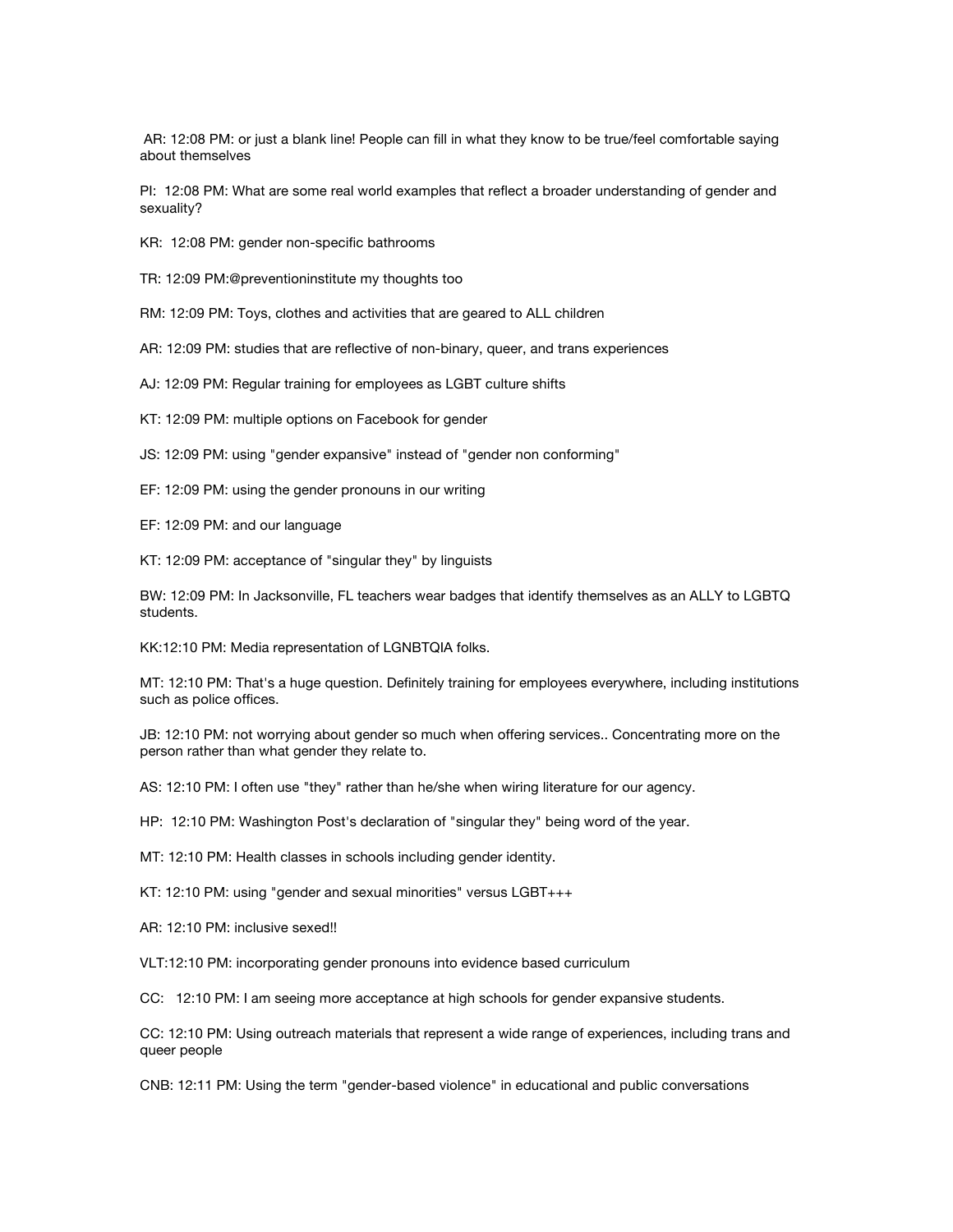AR: 12:08 PM: or just a blank line! People can fill in what they know to be true/feel comfortable saying about themselves

PI: 12:08 PM: What are some real world examples that reflect a broader understanding of gender and sexuality?

- KR: 12:08 PM: gender non-specific bathrooms
- TR: 12:09 PM:@preventioninstitute my thoughts too
- RM: 12:09 PM: Toys, clothes and activities that are geared to ALL children
- AR: 12:09 PM: studies that are reflective of non-binary, queer, and trans experiences
- AJ: 12:09 PM: Regular training for employees as LGBT culture shifts
- KT: 12:09 PM: multiple options on Facebook for gender
- JS: 12:09 PM: using "gender expansive" instead of "gender non conforming"
- EF: 12:09 PM: using the gender pronouns in our writing
- EF: 12:09 PM: and our language
- KT: 12:09 PM: acceptance of "singular they" by linguists

BW: 12:09 PM: In Jacksonville, FL teachers wear badges that identify themselves as an ALLY to LGBTQ students.

KK:12:10 PM: Media representation of LGNBTQIA folks.

MT: 12:10 PM: That's a huge question. Definitely training for employees everywhere, including institutions such as police offices.

JB: 12:10 PM: not worrying about gender so much when offering services.. Concentrating more on the person rather than what gender they relate to.

AS: 12:10 PM: I often use "they" rather than he/she when wiring literature for our agency.

HP: 12:10 PM: Washington Post's declaration of "singular they" being word of the year.

MT: 12:10 PM: Health classes in schools including gender identity.

KT: 12:10 PM: using "gender and sexual minorities" versus LGBT+++

AR: 12:10 PM: inclusive sexed!!

VLT:12:10 PM: incorporating gender pronouns into evidence based curriculum

CC: 12:10 PM: I am seeing more acceptance at high schools for gender expansive students.

CC: 12:10 PM: Using outreach materials that represent a wide range of experiences, including trans and queer people

CNB: 12:11 PM: Using the term "gender-based violence" in educational and public conversations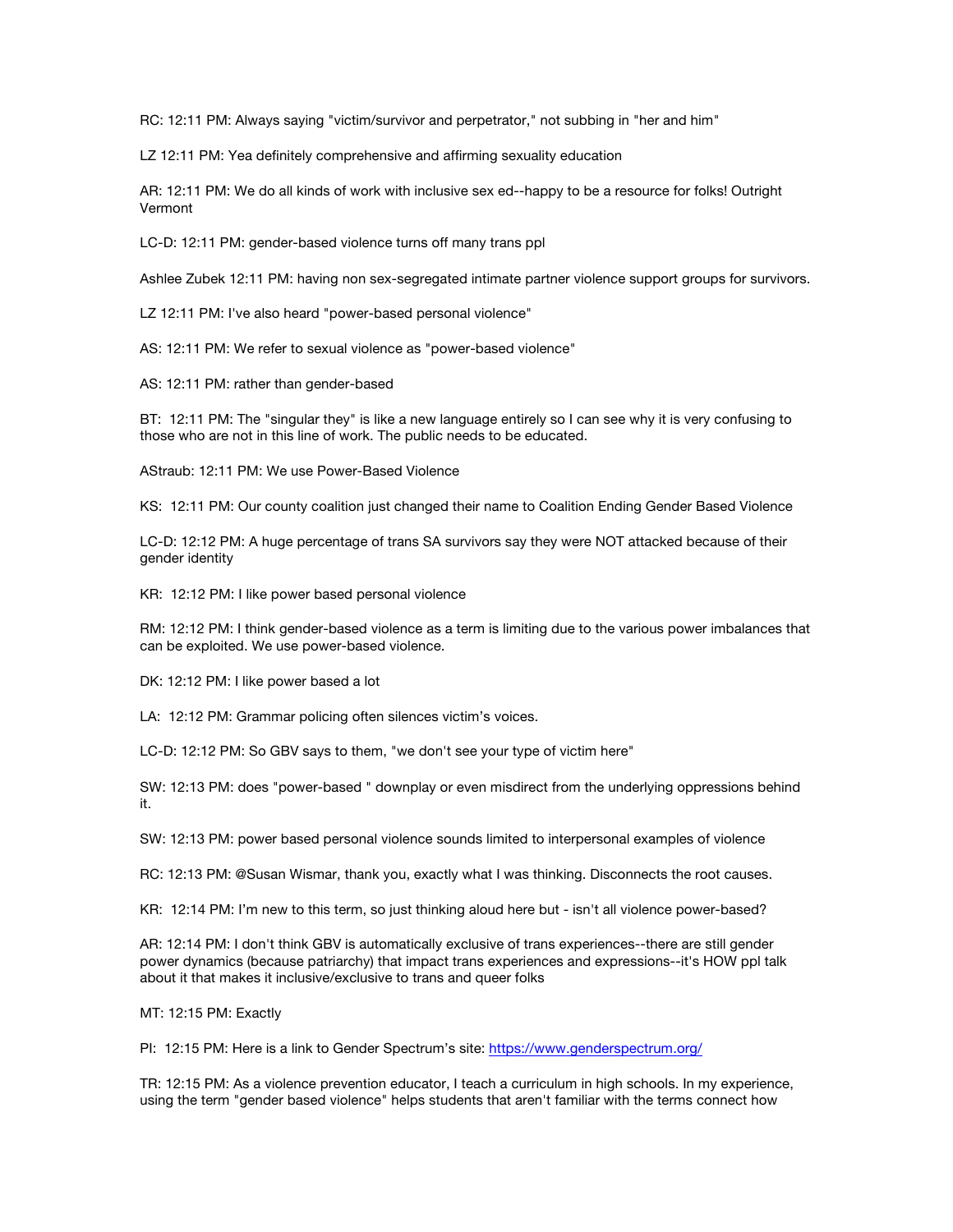RC: 12:11 PM: Always saying "victim/survivor and perpetrator," not subbing in "her and him"

LZ 12:11 PM: Yea definitely comprehensive and affirming sexuality education

AR: 12:11 PM: We do all kinds of work with inclusive sex ed--happy to be a resource for folks! Outright Vermont

LC-D: 12:11 PM: gender-based violence turns off many trans ppl

Ashlee Zubek 12:11 PM: having non sex-segregated intimate partner violence support groups for survivors.

LZ 12:11 PM: I've also heard "power-based personal violence"

AS: 12:11 PM: We refer to sexual violence as "power-based violence"

AS: 12:11 PM: rather than gender-based

BT: 12:11 PM: The "singular they" is like a new language entirely so I can see why it is very confusing to those who are not in this line of work. The public needs to be educated.

AStraub: 12:11 PM: We use Power-Based Violence

KS: 12:11 PM: Our county coalition just changed their name to Coalition Ending Gender Based Violence

LC-D: 12:12 PM: A huge percentage of trans SA survivors say they were NOT attacked because of their gender identity

KR: 12:12 PM: I like power based personal violence

RM: 12:12 PM: I think gender-based violence as a term is limiting due to the various power imbalances that can be exploited. We use power-based violence.

DK: 12:12 PM: I like power based a lot

LA: 12:12 PM: Grammar policing often silences victim's voices.

LC-D: 12:12 PM: So GBV says to them, "we don't see your type of victim here"

SW: 12:13 PM: does "power-based " downplay or even misdirect from the underlying oppressions behind it.

SW: 12:13 PM: power based personal violence sounds limited to interpersonal examples of violence

RC: 12:13 PM: @Susan Wismar, thank you, exactly what I was thinking. Disconnects the root causes.

KR: 12:14 PM: I'm new to this term, so just thinking aloud here but - isn't all violence power-based?

AR: 12:14 PM: I don't think GBV is automatically exclusive of trans experiences--there are still gender power dynamics (because patriarchy) that impact trans experiences and expressions--it's HOW ppl talk about it that makes it inclusive/exclusive to trans and queer folks

MT: 12:15 PM: Exactly

PI: 12:15 PM: Here is a link to Gender Spectrum's site: https://www.genderspectrum.org/

TR: 12:15 PM: As a violence prevention educator, I teach a curriculum in high schools. In my experience, using the term "gender based violence" helps students that aren't familiar with the terms connect how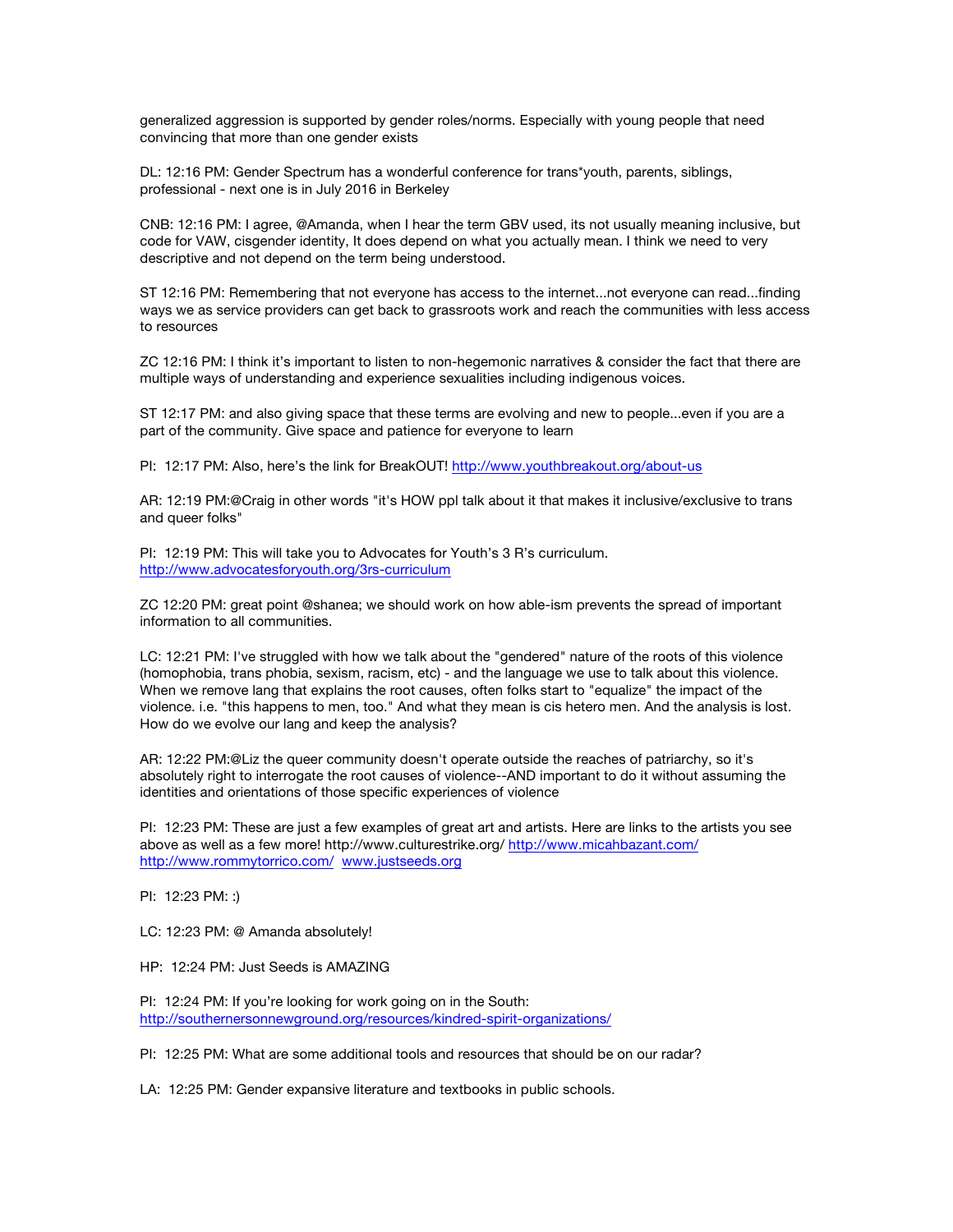generalized aggression is supported by gender roles/norms. Especially with young people that need convincing that more than one gender exists

DL: 12:16 PM: Gender Spectrum has a wonderful conference for trans\*youth, parents, siblings, professional - next one is in July 2016 in Berkeley

CNB: 12:16 PM: I agree, @Amanda, when I hear the term GBV used, its not usually meaning inclusive, but code for VAW, cisgender identity, It does depend on what you actually mean. I think we need to very descriptive and not depend on the term being understood.

ST 12:16 PM: Remembering that not everyone has access to the internet...not everyone can read...finding ways we as service providers can get back to grassroots work and reach the communities with less access to resources

ZC 12:16 PM: I think it's important to listen to non-hegemonic narratives & consider the fact that there are multiple ways of understanding and experience sexualities including indigenous voices.

ST 12:17 PM: and also giving space that these terms are evolving and new to people...even if you are a part of the community. Give space and patience for everyone to learn

PI: 12:17 PM: Also, here's the link for BreakOUT! http://www.youthbreakout.org/about-us

AR: 12:19 PM:@Craig in other words "it's HOW ppl talk about it that makes it inclusive/exclusive to trans and queer folks"

PI: 12:19 PM: This will take you to Advocates for Youth's 3 R's curriculum. http://www.advocatesforyouth.org/3rs-curriculum

ZC 12:20 PM: great point @shanea; we should work on how able-ism prevents the spread of important information to all communities.

LC: 12:21 PM: I've struggled with how we talk about the "gendered" nature of the roots of this violence (homophobia, trans phobia, sexism, racism, etc) - and the language we use to talk about this violence. When we remove lang that explains the root causes, often folks start to "equalize" the impact of the violence. i.e. "this happens to men, too." And what they mean is cis hetero men. And the analysis is lost. How do we evolve our lang and keep the analysis?

AR: 12:22 PM:@Liz the queer community doesn't operate outside the reaches of patriarchy, so it's absolutely right to interrogate the root causes of violence--AND important to do it without assuming the identities and orientations of those specific experiences of violence

PI: 12:23 PM: These are just a few examples of great art and artists. Here are links to the artists you see above as well as a few more! http://www.culturestrike.org/ http://www.micahbazant.com/ http://www.rommytorrico.com/ www.justseeds.org

PI: 12:23 PM: :)

LC: 12:23 PM: @ Amanda absolutely!

HP: 12:24 PM: Just Seeds is AMAZING

PI: 12:24 PM: If you're looking for work going on in the South: http://southernersonnewground.org/resources/kindred-spirit-organizations/

PI: 12:25 PM: What are some additional tools and resources that should be on our radar?

LA: 12:25 PM: Gender expansive literature and textbooks in public schools.